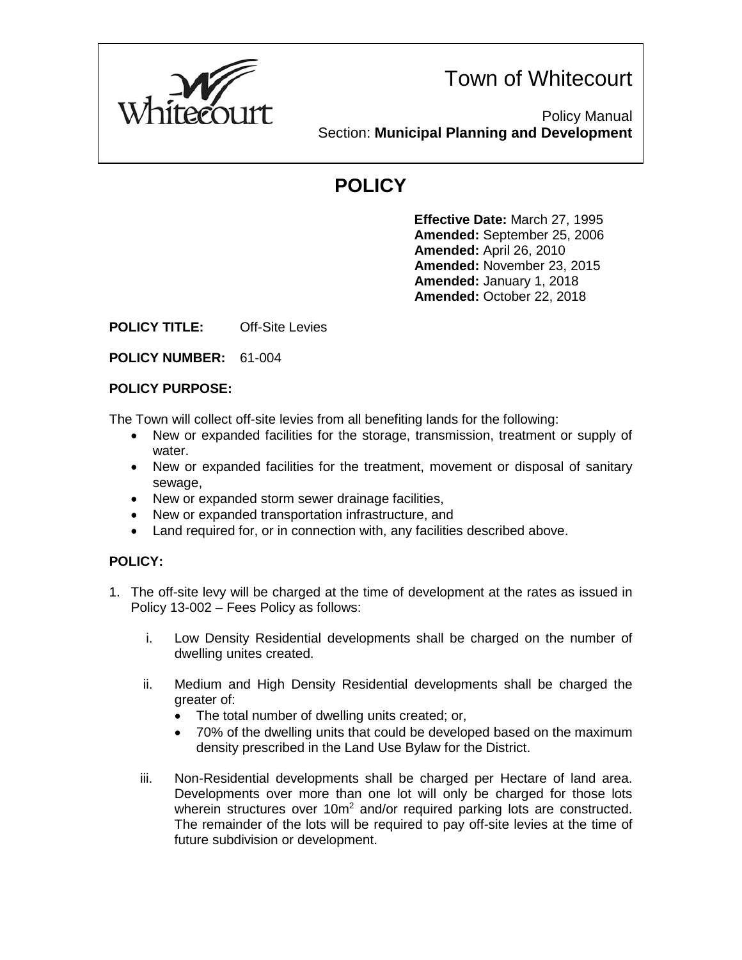

Policy Manual Section: **Municipal Planning and Development**

# **POLICY**

**Effective Date:** March 27, 1995 **Amended:** September 25, 2006 **Amended:** April 26, 2010 **Amended:** November 23, 2015 **Amended:** January 1, 2018 **Amended:** October 22, 2018

**POLICY TITLE:** Off-Site Levies

### **POLICY NUMBER:** 61-004

#### **POLICY PURPOSE:**

The Town will collect off-site levies from all benefiting lands for the following:

- New or expanded facilities for the storage, transmission, treatment or supply of water.
- New or expanded facilities for the treatment, movement or disposal of sanitary sewage,
- New or expanded storm sewer drainage facilities,
- New or expanded transportation infrastructure, and
- Land required for, or in connection with, any facilities described above.

## **POLICY:**

- 1. The off-site levy will be charged at the time of development at the rates as issued in Policy 13-002 – Fees Policy as follows:
	- i. Low Density Residential developments shall be charged on the number of dwelling unites created.
	- ii. Medium and High Density Residential developments shall be charged the greater of:
		- The total number of dwelling units created; or,
		- 70% of the dwelling units that could be developed based on the maximum density prescribed in the Land Use Bylaw for the District.
	- iii. Non-Residential developments shall be charged per Hectare of land area. Developments over more than one lot will only be charged for those lots wherein structures over  $10m^2$  and/or required parking lots are constructed. The remainder of the lots will be required to pay off-site levies at the time of future subdivision or development.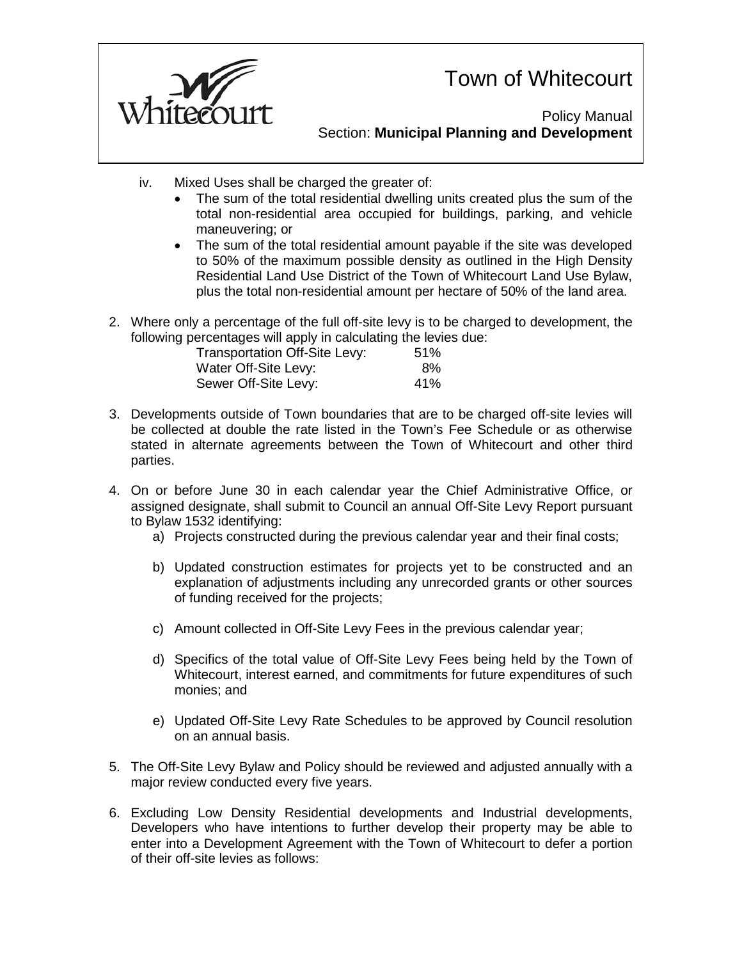

Policy Manual Section: **Municipal Planning and Development**

- iv. Mixed Uses shall be charged the greater of:
	- The sum of the total residential dwelling units created plus the sum of the total non-residential area occupied for buildings, parking, and vehicle maneuvering; or
	- The sum of the total residential amount payable if the site was developed to 50% of the maximum possible density as outlined in the High Density Residential Land Use District of the Town of Whitecourt Land Use Bylaw, plus the total non-residential amount per hectare of 50% of the land area.
- 2. Where only a percentage of the full off-site levy is to be charged to development, the following percentages will apply in calculating the levies due:

| Transportation Off-Site Levy: | 51% |
|-------------------------------|-----|
| Water Off-Site Levy:          | 8%  |
| Sewer Off-Site Levy:          | 41% |

- 3. Developments outside of Town boundaries that are to be charged off-site levies will be collected at double the rate listed in the Town's Fee Schedule or as otherwise stated in alternate agreements between the Town of Whitecourt and other third parties.
- 4. On or before June 30 in each calendar year the Chief Administrative Office, or assigned designate, shall submit to Council an annual Off-Site Levy Report pursuant to Bylaw 1532 identifying:
	- a) Projects constructed during the previous calendar year and their final costs;
	- b) Updated construction estimates for projects yet to be constructed and an explanation of adjustments including any unrecorded grants or other sources of funding received for the projects;
	- c) Amount collected in Off-Site Levy Fees in the previous calendar year;
	- d) Specifics of the total value of Off-Site Levy Fees being held by the Town of Whitecourt, interest earned, and commitments for future expenditures of such monies; and
	- e) Updated Off-Site Levy Rate Schedules to be approved by Council resolution on an annual basis.
- 5. The Off-Site Levy Bylaw and Policy should be reviewed and adjusted annually with a major review conducted every five years.
- 6. Excluding Low Density Residential developments and Industrial developments, Developers who have intentions to further develop their property may be able to enter into a Development Agreement with the Town of Whitecourt to defer a portion of their off-site levies as follows: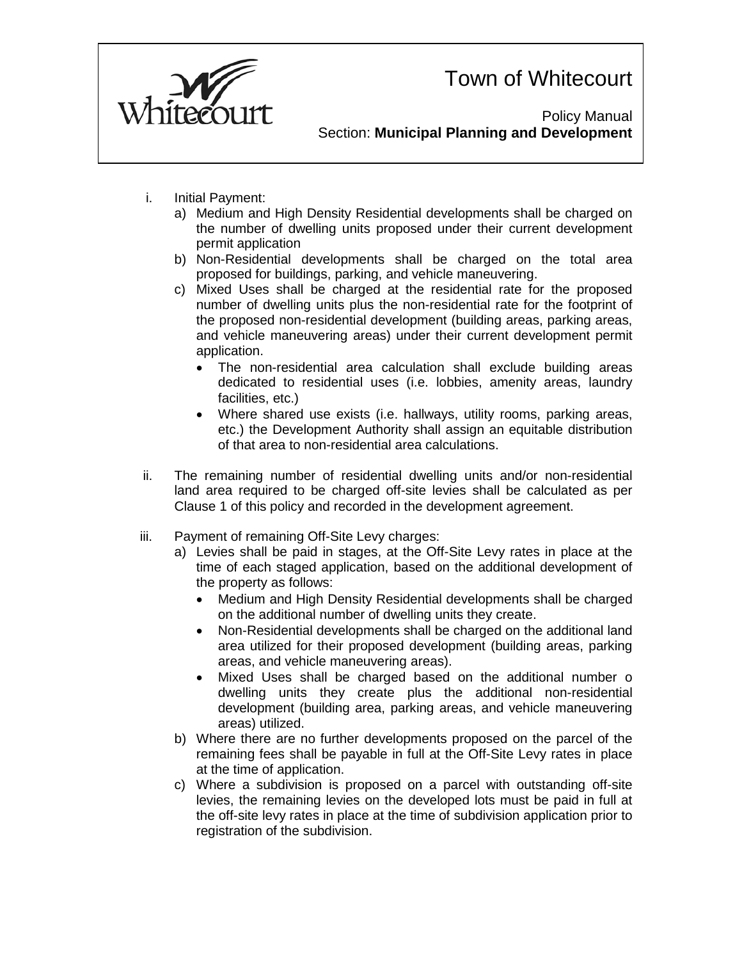

Policy Manual Section: **Municipal Planning and Development**

- i. Initial Payment:
	- a) Medium and High Density Residential developments shall be charged on the number of dwelling units proposed under their current development permit application
	- b) Non-Residential developments shall be charged on the total area proposed for buildings, parking, and vehicle maneuvering.
	- c) Mixed Uses shall be charged at the residential rate for the proposed number of dwelling units plus the non-residential rate for the footprint of the proposed non-residential development (building areas, parking areas, and vehicle maneuvering areas) under their current development permit application.
		- The non-residential area calculation shall exclude building areas dedicated to residential uses (i.e. lobbies, amenity areas, laundry facilities, etc.)
		- Where shared use exists (i.e. hallways, utility rooms, parking areas, etc.) the Development Authority shall assign an equitable distribution of that area to non-residential area calculations.
- ii. The remaining number of residential dwelling units and/or non-residential land area required to be charged off-site levies shall be calculated as per Clause 1 of this policy and recorded in the development agreement.
- iii. Payment of remaining Off-Site Levy charges:
	- a) Levies shall be paid in stages, at the Off-Site Levy rates in place at the time of each staged application, based on the additional development of the property as follows:
		- Medium and High Density Residential developments shall be charged on the additional number of dwelling units they create.
		- Non-Residential developments shall be charged on the additional land area utilized for their proposed development (building areas, parking areas, and vehicle maneuvering areas).
		- Mixed Uses shall be charged based on the additional number o dwelling units they create plus the additional non-residential development (building area, parking areas, and vehicle maneuvering areas) utilized.
	- b) Where there are no further developments proposed on the parcel of the remaining fees shall be payable in full at the Off-Site Levy rates in place at the time of application.
	- c) Where a subdivision is proposed on a parcel with outstanding off-site levies, the remaining levies on the developed lots must be paid in full at the off-site levy rates in place at the time of subdivision application prior to registration of the subdivision.